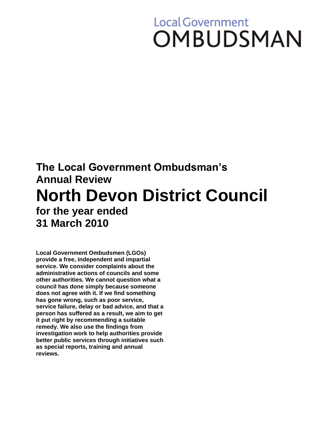# **Local Government OMBUDSMAN**

# **The Local Government Ombudsman's Annual Review North Devon District Council for the year ended 31 March 2010**

**Local Government Ombudsmen (LGOs) provide a free, independent and impartial service. We consider complaints about the administrative actions of councils and some other authorities. We cannot question what a council has done simply because someone does not agree with it. If we find something has gone wrong, such as poor service, service failure, delay or bad advice, and that a person has suffered as a result, we aim to get it put right by recommending a suitable remedy. We also use the findings from investigation work to help authorities provide better public services through initiatives such as special reports, training and annual reviews.**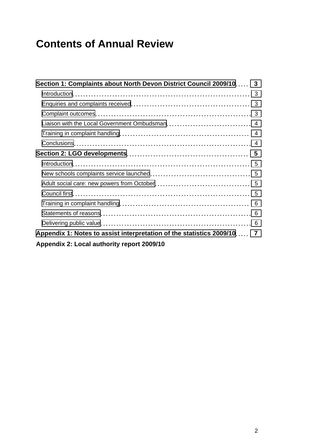## **Contents of Annual Review**

| Section 1: Complaints about North Devon District Council 2009/10 3     |  |
|------------------------------------------------------------------------|--|
|                                                                        |  |
|                                                                        |  |
|                                                                        |  |
|                                                                        |  |
|                                                                        |  |
|                                                                        |  |
|                                                                        |  |
|                                                                        |  |
|                                                                        |  |
|                                                                        |  |
|                                                                        |  |
|                                                                        |  |
|                                                                        |  |
|                                                                        |  |
| Appendix 1: Notes to assist interpretation of the statistics 2009/10 7 |  |
| Appendix 2: Local authority report 2009/10                             |  |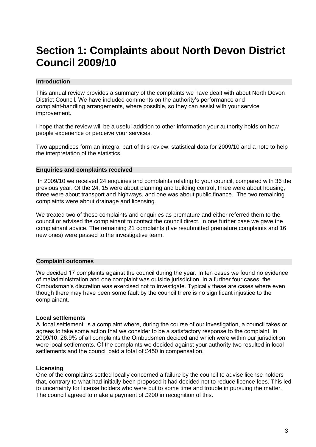### <span id="page-2-0"></span>**Section 1: Complaints about North Devon District Council 2009/10**

#### <span id="page-2-1"></span>**Introduction**

This annual review provides a summary of the complaints we have dealt with about North Devon District Council**.** We have included comments on the authority's performance and complaint-handling arrangements, where possible, so they can assist with your service improvement.

I hope that the review will be a useful addition to other information your authority holds on how people experience or perceive your services.

Two appendices form an integral part of this review: statistical data for 2009/10 and a note to help the interpretation of the statistics.

#### <span id="page-2-2"></span>**Enquiries and complaints received**

In 2009/10 we received 24 enquiries and complaints relating to your council, compared with 36 the previous year. Of the 24, 15 were about planning and building control, three were about housing, three were about transport and highways, and one was about public finance. The two remaining complaints were about drainage and licensing.

We treated two of these complaints and enquiries as premature and either referred them to the council or advised the complainant to contact the council direct. In one further case we gave the complainant advice. The remaining 21 complaints (five resubmitted premature complaints and 16 new ones) were passed to the investigative team.

#### <span id="page-2-3"></span>**Complaint outcomes**

We decided 17 complaints against the council during the year. In ten cases we found no evidence of maladministration and one complaint was outside jurisdiction. In a further four cases, the Ombudsman's discretion was exercised not to investigate. Typically these are cases where even though there may have been some fault by the council there is no significant injustice to the complainant.

#### **Local settlements**

A 'local settlement' is a complaint where, during the course of our investigation, a council takes or agrees to take some action that we consider to be a satisfactory response to the complaint. In 2009/10, 26.9% of all complaints the Ombudsmen decided and which were within our jurisdiction were local settlements. Of the complaints we decided against your authority two resulted in local settlements and the council paid a total of £450 in compensation.

#### **Licensing**

One of the complaints settled locally concerned a failure by the council to advise license holders that, contrary to what had initially been proposed it had decided not to reduce licence fees. This led to uncertainty for license holders who were put to some time and trouble in pursuing the matter. The council agreed to make a payment of £200 in recognition of this.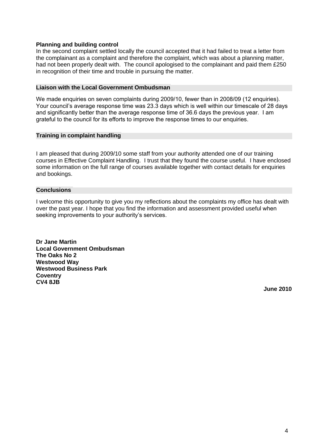#### **Planning and building control**

In the second complaint settled locally the council accepted that it had failed to treat a letter from the complainant as a complaint and therefore the complaint, which was about a planning matter, had not been properly dealt with. The council apologised to the complainant and paid them £250 in recognition of their time and trouble in pursuing the matter.

#### <span id="page-3-0"></span>**Liaison with the Local Government Ombudsman**

We made enquiries on seven complaints during 2009/10, fewer than in 2008/09 (12 enquiries). Your council's average response time was 23.3 days which is well within our timescale of 28 days and significantly better than the average response time of 36.6 days the previous year. I am grateful to the council for its efforts to improve the response times to our enquiries.

#### <span id="page-3-1"></span>**Training in complaint handling**

I am pleased that during 2009/10 some staff from your authority attended one of our training courses in Effective Complaint Handling. I trust that they found the course useful. I have enclosed some information on the full range of courses available together with contact details for enquiries and bookings.

#### <span id="page-3-2"></span>**Conclusions**

I welcome this opportunity to give you my reflections about the complaints my office has dealt with over the past year. I hope that you find the information and assessment provided useful when seeking improvements to your authority's services.

**Dr Jane Martin Local Government Ombudsman The Oaks No 2 Westwood Way Westwood Business Park Coventry CV4 8JB**

**June 2010**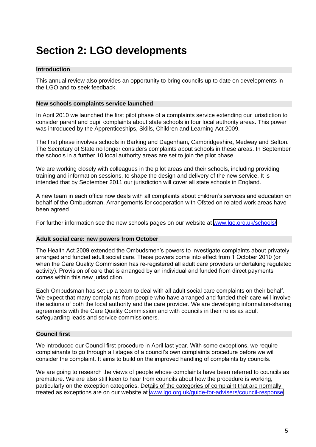### <span id="page-4-0"></span>**Section 2: LGO developments**

#### <span id="page-4-1"></span>**Introduction**

This annual review also provides an opportunity to bring councils up to date on developments in the LGO and to seek feedback.

#### <span id="page-4-2"></span>**New schools complaints service launched**

In April 2010 we launched the first pilot phase of a complaints service extending our jurisdiction to consider parent and pupil complaints about state schools in four local authority areas. This power was introduced by the Apprenticeships, Skills, Children and Learning Act 2009.

The first phase involves schools in Barking and Dagenham**,** Cambridgeshire**,** Medway and Sefton. The Secretary of State no longer considers complaints about schools in these areas. In September the schools in a further 10 local authority areas are set to join the pilot phase.

We are working closely with colleagues in the pilot areas and their schools, including providing training and information sessions, to shape the design and delivery of the new service. It is intended that by September 2011 our jurisdiction will cover all state schools in England.

A new team in each office now deals with all complaints about children's services and education on behalf of the Ombudsman. Arrangements for cooperation with Ofsted on related work areas have been agreed.

For further information see the new schools pages on our website at [www.lgo.org.uk/schools/](http://www.lgo.org.uk/schools/)

#### <span id="page-4-3"></span>**Adult social care: new powers from October**

The Health Act 2009 extended the Ombudsmen's powers to investigate complaints about privately arranged and funded adult social care. These powers come into effect from 1 October 2010 (or when the Care Quality Commission has re-registered all adult care providers undertaking regulated activity). Provision of care that is arranged by an individual and funded from direct payments comes within this new jurisdiction.

Each Ombudsman has set up a team to deal with all adult social care complaints on their behalf. We expect that many complaints from people who have arranged and funded their care will involve the actions of both the local authority and the care provider. We are developing information-sharing agreements with the Care Quality Commission and with councils in their roles as adult safeguarding leads and service commissioners.

#### <span id="page-4-4"></span>**Council first**

We introduced our Council first procedure in April last year. With some exceptions, we require complainants to go through all stages of a council's own complaints procedure before we will consider the complaint. It aims to build on the improved handling of complaints by councils.

We are going to research the views of people whose complaints have been referred to councils as premature. We are also still keen to hear from councils about how the procedure is working, particularly on the exception categories. Details of the categories of complaint that are normally treated as exceptions are on our website at [www.lgo.org.uk/guide-for-advisers/council-response](http://www.lgo.org.uk/guide-for-advisers/council-response)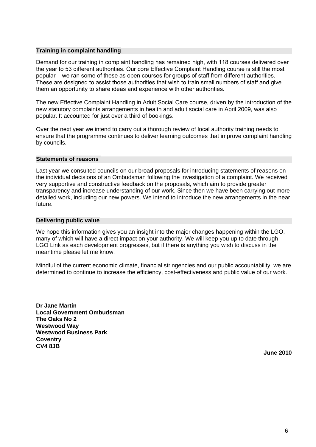#### <span id="page-5-0"></span>**Training in complaint handling**

Demand for our training in complaint handling has remained high, with 118 courses delivered over the year to 53 different authorities. Our core Effective Complaint Handling course is still the most popular – we ran some of these as open courses for groups of staff from different authorities. These are designed to assist those authorities that wish to train small numbers of staff and give them an opportunity to share ideas and experience with other authorities.

The new Effective Complaint Handling in Adult Social Care course, driven by the introduction of the new statutory complaints arrangements in health and adult social care in April 2009, was also popular. It accounted for just over a third of bookings.

Over the next year we intend to carry out a thorough review of local authority training needs to ensure that the programme continues to deliver learning outcomes that improve complaint handling by councils.

#### <span id="page-5-1"></span>**Statements of reasons**

Last year we consulted councils on our broad proposals for introducing statements of reasons on the individual decisions of an Ombudsman following the investigation of a complaint. We received very supportive and constructive feedback on the proposals, which aim to provide greater transparency and increase understanding of our work. Since then we have been carrying out more detailed work, including our new powers. We intend to introduce the new arrangements in the near future.

#### <span id="page-5-2"></span>**Delivering public value**

We hope this information gives you an insight into the major changes happening within the LGO, many of which will have a direct impact on your authority. We will keep you up to date through LGO Link as each development progresses, but if there is anything you wish to discuss in the meantime please let me know.

Mindful of the current economic climate, financial stringencies and our public accountability, we are determined to continue to increase the efficiency, cost-effectiveness and public value of our work.

**Dr Jane Martin Local Government Ombudsman The Oaks No 2 Westwood Way Westwood Business Park Coventry CV4 8JB**

**June 2010**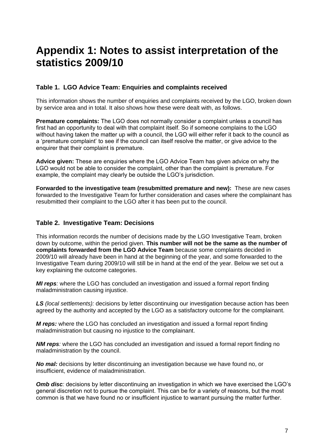### <span id="page-6-0"></span>**Appendix 1: Notes to assist interpretation of the statistics 2009/10**

#### **Table 1. LGO Advice Team: Enquiries and complaints received**

This information shows the number of enquiries and complaints received by the LGO, broken down by service area and in total. It also shows how these were dealt with, as follows.

**Premature complaints:** The LGO does not normally consider a complaint unless a council has first had an opportunity to deal with that complaint itself. So if someone complains to the LGO without having taken the matter up with a council, the LGO will either refer it back to the council as a 'premature complaint' to see if the council can itself resolve the matter, or give advice to the enquirer that their complaint is premature.

**Advice given:** These are enquiries where the LGO Advice Team has given advice on why the LGO would not be able to consider the complaint, other than the complaint is premature. For example, the complaint may clearly be outside the LGO's jurisdiction.

**Forwarded to the investigative team (resubmitted premature and new):** These are new cases forwarded to the Investigative Team for further consideration and cases where the complainant has resubmitted their complaint to the LGO after it has been put to the council.

#### **Table 2. Investigative Team: Decisions**

This information records the number of decisions made by the LGO Investigative Team, broken down by outcome, within the period given. **This number will not be the same as the number of complaints forwarded from the LGO Advice Team** because some complaints decided in 2009/10 will already have been in hand at the beginning of the year, and some forwarded to the Investigative Team during 2009/10 will still be in hand at the end of the year. Below we set out a key explaining the outcome categories.

*MI reps:* where the LGO has concluded an investigation and issued a formal report finding maladministration causing injustice.

*LS (local settlements):* decisions by letter discontinuing our investigation because action has been agreed by the authority and accepted by the LGO as a satisfactory outcome for the complainant.

*M reps:* where the LGO has concluded an investigation and issued a formal report finding maladministration but causing no injustice to the complainant.

*NM reps*: where the LGO has concluded an investigation and issued a formal report finding no maladministration by the council.

*No mal:* decisions by letter discontinuing an investigation because we have found no, or insufficient, evidence of maladministration.

**Omb disc**: decisions by letter discontinuing an investigation in which we have exercised the LGO's general discretion not to pursue the complaint. This can be for a variety of reasons, but the most common is that we have found no or insufficient injustice to warrant pursuing the matter further.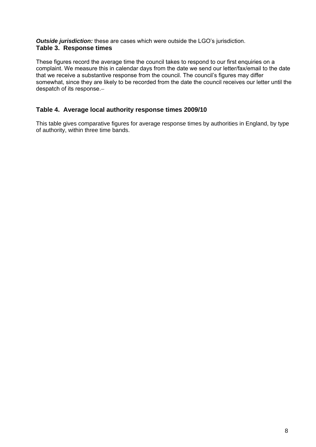#### *Outside jurisdiction:* these are cases which were outside the LGO's jurisdiction. **Table 3. Response times**

These figures record the average time the council takes to respond to our first enquiries on a complaint. We measure this in calendar days from the date we send our letter/fax/email to the date that we receive a substantive response from the council. The council's figures may differ somewhat, since they are likely to be recorded from the date the council receives our letter until the despatch of its response.

#### **Table 4. Average local authority response times 2009/10**

This table gives comparative figures for average response times by authorities in England, by type of authority, within three time bands.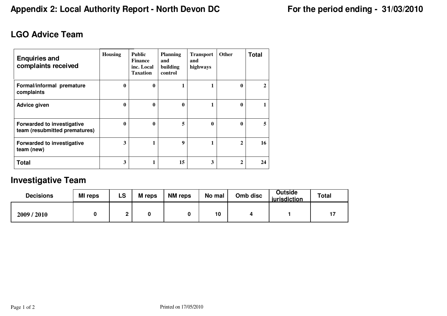### **LGO Advice Team**

| <b>Enquiries and</b><br>complaints received                        | <b>Housing</b> | <b>Public</b><br><b>Finance</b><br>inc. Local<br><b>Taxation</b> | <b>Planning</b><br>and<br>building<br>control | <b>Transport</b><br>and<br>highways | <b>Other</b> | <b>Total</b> |
|--------------------------------------------------------------------|----------------|------------------------------------------------------------------|-----------------------------------------------|-------------------------------------|--------------|--------------|
| Formal/informal premature<br>complaints                            | 0              | 0                                                                |                                               |                                     | 0            | $\mathbf{2}$ |
| Advice given                                                       | 0              | $\mathbf{0}$                                                     | $\mathbf{0}$                                  | 1                                   | $\mathbf{0}$ |              |
| <b>Forwarded to investigative</b><br>team (resubmitted prematures) | 0              | $\mathbf{0}$                                                     | 5                                             | $\mathbf{0}$                        | $\mathbf{0}$ | 5            |
| <b>Forwarded to investigative</b><br>team (new)                    | 3              |                                                                  | 9                                             |                                     | $\mathbf{2}$ | 16           |
| <b>Total</b>                                                       | 3              |                                                                  | 15                                            | 3                                   | $\mathbf{2}$ | 24           |

### **Investigative Team**

| <b>Decisions</b> | <b>MI</b> reps | LS | <b>M</b> reps | <b>NM</b> reps | No mal | Omb disc | Outside<br>iurisdiction | <b>Total</b> |
|------------------|----------------|----|---------------|----------------|--------|----------|-------------------------|--------------|
| 2009/2010        |                |    |               |                | 10     |          |                         |              |